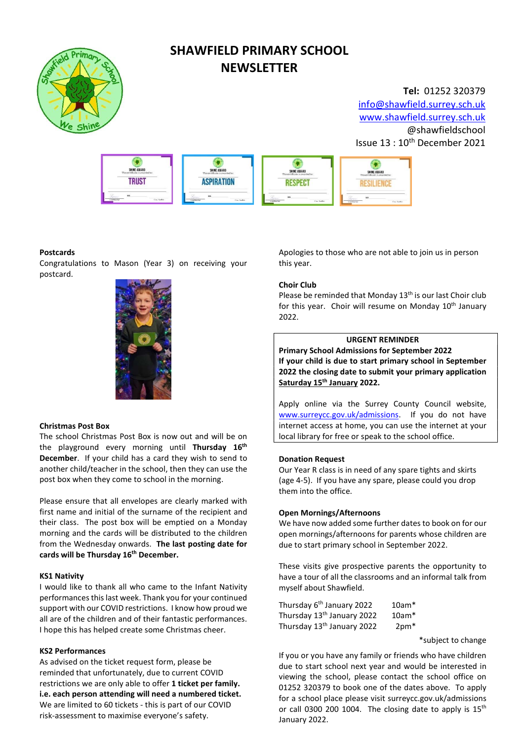

# SHAWFIELD PRIMARY SCHOOL **NEWSLETTER**

### Tel: 01252 320379 info@shawfield.surrey.sch.uk www.shawfield.surrey.sch.uk @shawfieldschool Issue 13 : 10<sup>th</sup> December 2021



#### Postcards

Congratulations to Mason (Year 3) on receiving your postcard.



#### Christmas Post Box

The school Christmas Post Box is now out and will be on the playground every morning until Thursday 16<sup>th</sup> December. If your child has a card they wish to send to another child/teacher in the school, then they can use the post box when they come to school in the morning.

Please ensure that all envelopes are clearly marked with first name and initial of the surname of the recipient and their class. The post box will be emptied on a Monday morning and the cards will be distributed to the children from the Wednesday onwards. The last posting date for cards will be Thursday 16<sup>th</sup> December.

#### KS1 Nativity

I would like to thank all who came to the Infant Nativity performances this last week. Thank you for your continued support with our COVID restrictions. I know how proud we all are of the children and of their fantastic performances. I hope this has helped create some Christmas cheer.

#### KS2 Performances

As advised on the ticket request form, please be reminded that unfortunately, due to current COVID restrictions we are only able to offer 1 ticket per family. i.e. each person attending will need a numbered ticket. We are limited to 60 tickets - this is part of our COVID risk-assessment to maximise everyone's safety.

Apologies to those who are not able to join us in person this year.

#### Choir Club

Please be reminded that Monday  $13<sup>th</sup>$  is our last Choir club for this year. Choir will resume on Monday  $10<sup>th</sup>$  January 2022.

#### URGENT REMINDER

Primary School Admissions for September 2022 If your child is due to start primary school in September 2022 the closing date to submit your primary application Saturday 15<sup>th</sup> January 2022.

Apply online via the Surrey County Council website, www.surreycc.gov.uk/admissions. If you do not have internet access at home, you can use the internet at your local library for free or speak to the school office.

#### Donation Request

Our Year R class is in need of any spare tights and skirts (age 4-5). If you have any spare, please could you drop them into the office.

#### Open Mornings/Afternoons

We have now added some further dates to book on for our open mornings/afternoons for parents whose children are due to start primary school in September 2022.

These visits give prospective parents the opportunity to have a tour of all the classrooms and an informal talk from myself about Shawfield.

| Thursday 6 <sup>th</sup> January 2022  | $10am*$ |
|----------------------------------------|---------|
| Thursday 13 <sup>th</sup> January 2022 | $10am*$ |
| Thursday 13 <sup>th</sup> January 2022 | $2pm*$  |

\*subject to change

If you or you have any family or friends who have children due to start school next year and would be interested in viewing the school, please contact the school office on 01252 320379 to book one of the dates above. To apply for a school place please visit surreycc.gov.uk/admissions or call 0300 200 1004. The closing date to apply is  $15<sup>th</sup>$ January 2022.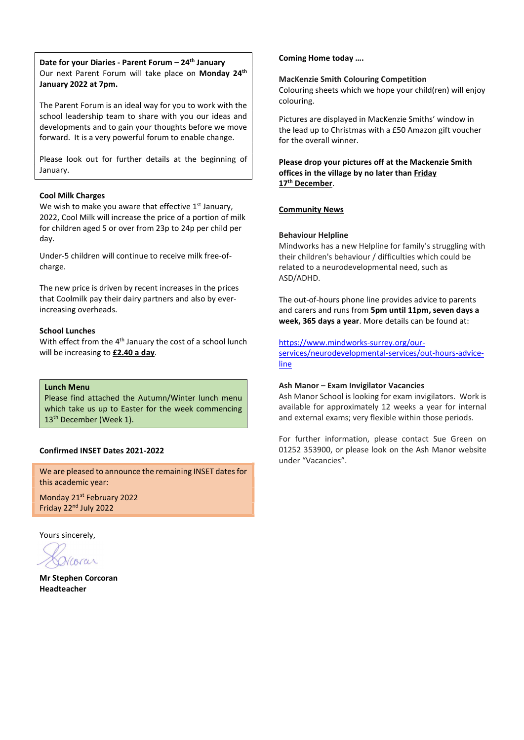Date for your Diaries - Parent Forum - 24<sup>th</sup> January Our next Parent Forum will take place on Monday 24<sup>th</sup> January 2022 at 7pm.

The Parent Forum is an ideal way for you to work with the school leadership team to share with you our ideas and developments and to gain your thoughts before we move forward. It is a very powerful forum to enable change.

Please look out for further details at the beginning of January.

#### Cool Milk Charges

We wish to make you aware that effective  $1<sup>st</sup>$  January, 2022, Cool Milk will increase the price of a portion of milk for children aged 5 or over from 23p to 24p per child per day.

Under-5 children will continue to receive milk free-ofcharge.

The new price is driven by recent increases in the prices that Coolmilk pay their dairy partners and also by everincreasing overheads.

#### School Lunches

With effect from the 4<sup>th</sup> January the cost of a school lunch will be increasing to £2.40 a day.

#### Lunch Menu

Please find attached the Autumn/Winter lunch menu which take us up to Easter for the week commencing 13<sup>th</sup> December (Week 1).

#### Confirmed INSET Dates 2021-2022

We are pleased to announce the remaining INSET dates for this academic year:

Monday 21st February 2022 Friday 22nd July 2022

Yours sincerely,

Vcorar

Mr Stephen Corcoran Headteacher

#### Coming Home today ….

#### MacKenzie Smith Colouring Competition

Colouring sheets which we hope your child(ren) will enjoy colouring.

Pictures are displayed in MacKenzie Smiths' window in the lead up to Christmas with a £50 Amazon gift voucher for the overall winner.

Please drop your pictures off at the Mackenzie Smith offices in the village by no later than Friday 17<sup>th</sup> December.

#### Community News

#### Behaviour Helpline

line

Mindworks has a new Helpline for family's struggling with their children's behaviour / difficulties which could be related to a neurodevelopmental need, such as ASD/ADHD.

The out-of-hours phone line provides advice to parents and carers and runs from 5pm until 11pm, seven days a week, 365 days a year. More details can be found at:

https://www.mindworks-surrey.org/ourservices/neurodevelopmental-services/out-hours-advice-

### Ash Manor – Exam Invigilator Vacancies

Ash Manor School is looking for exam invigilators. Work is available for approximately 12 weeks a year for internal and external exams; very flexible within those periods.

For further information, please contact Sue Green on 01252 353900, or please look on the Ash Manor website under "Vacancies".